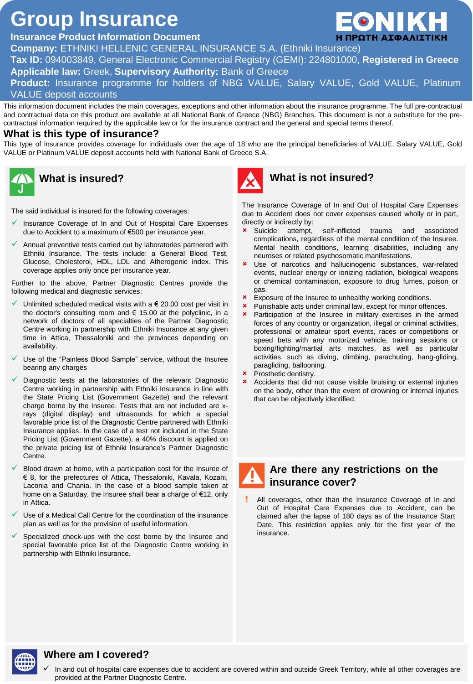# **Group Insurance**

# **Insurance Product Information Document**

**Company:** ETHNIKI HELLENIC GENERAL INSURANCE S.A. (Ethniki Insurance)

**Tax ID:** 094003849, General Electronic Commercial Registry (GEMI): 224801000, **Registered in Greece**

**Applicable law:** Greek, **Supervisory Authority:** Bank of Greece

**Product:** Insurance programme for holders of NBG VALUE, Salary VALUE, Gold VALUE, Platinum VALUE deposit accounts

This information document includes the main coverages, exceptions and other information about the insurance programme. The full pre-contractual and contractual data on this product are available at all National Bank of Greece (NBG) Branches. This document is not a substitute for the precontractual information required by the applicable law or for the insurance contract and the general and special terms thereof.

#### **What is this type of insurance?**

This type of insurance provides coverage for individuals over the age of 18 who are the principal beneficiaries of VALUE, Salary VALUE, Gold VALUE or Platinum VALUE deposit accounts held with National Bank of Greece S.A.



The said individual is insured for the following coverages:

- Insurance Coverage of In and Out of Hospital Care Expenses due to Accident to a maximum of €500 per insurance year.
- Annual preventive tests carried out by laboratories partnered with Ethniki Insurance. The tests include: a General Blood Test, Glucose, Cholesterol, HDL, LDL and Atherogenic index. This coverage applies only once per insurance year.

Further to the above, Partner Diagnostic Centres provide the following medical and diagnostic services:

- Unlimited scheduled medical visits with a  $\epsilon$  20.00 cost per visit in the doctor's consulting room and  $\epsilon$  15.00 at the polyclinic, in a network of doctors of all specialties of the Partner Diagnostic Centre working in partnership with Ethniki Insurance at any given time in Attica, Thessaloniki and the provinces depending on availability.
- Use of the "Painless Blood Sample" service, without the Insuree bearing any charges
- Diagnostic tests at the laboratories of the relevant Diagnostic Centre working in partnership with Ethniki Insurance in line with the State Pricing List (Government Gazette) and the relevant charge borne by the Insuree. Tests that are not included are xrays (digital display) and ultrasounds for which a special favorable price list of the Diagnostic Centre partnered with Ethniki Insurance applies. In the case of a test not included in the State Pricing List (Government Gazette), a 40% discount is applied on the private pricing list of Ethniki Insurance's Partner Diagnostic Centre.
- Blood drawn at home, with a participation cost for the Insuree of € 8, for the prefectures of Attica, Thessaloniki, Kavala, Kozani, Laconia and Chania. In the case of a blood sample taken at home on a Saturday, the Insuree shall bear a charge of €12, only in Attica.
- Use of a Medical Call Centre for the coordination of the insurance plan as well as for the provision of useful information.
- Specialized check-ups with the cost borne by the Insuree and special favorable price list of the Diagnostic Centre working in partnership with Ethniki Insurance.



# **What is insured? What is not insured?**

The Insurance Coverage of In and Out of Hospital Care Expenses due to Accident does not cover expenses caused wholly or in part, directly or indirectly by:

- **x** Suicide attempt, self-inflicted trauma and associated complications, regardless of the mental condition of the Insuree. Mental health conditions, learning disabilities, including any neuroses or related psychosomatic manifestations.
- Use of narcotics and hallucinogenic substances, war-related events, nuclear energy or ionizing radiation, biological weapons or chemical contamination, exposure to drug fumes, poison or gas.
- **\*** Exposure of the Insuree to unhealthy working conditions.
- **x** Punishable acts under criminal law, except for minor offences.<br>**x** Participation of the Insuree in military exercises in the arm
- Participation of the Insuree in military exercises in the armed forces of any country or organization, illegal or criminal activities, professional or amateur sport events, races or competitions or speed bets with any motorized vehicle, training sessions or boxing/fighting/martial arts matches, as well as particular activities, such as diving, climbing, parachuting, hang-gliding, paragliding, ballooning.
- **\*** Prosthetic dentistry.
- **x** Accidents that did not cause visible bruising or external injuries on the body, other than the event of drowning or internal injuries that can be objectively identified.



#### **Are there any restrictions on the insurance cover?**

All coverages, other than the Insurance Coverage of In and Out of Hospital Care Expenses due to Accident, can be claimed after the lapse of 180 days as of the Insurance Start Date. This restriction applies only for the first year of the insurance.



#### **Where am I covered?**

 In and out of hospital care expenses due to accident are covered within and outside Greek Territory, while all other coverages are provided at the Partner Diagnostic Centre.

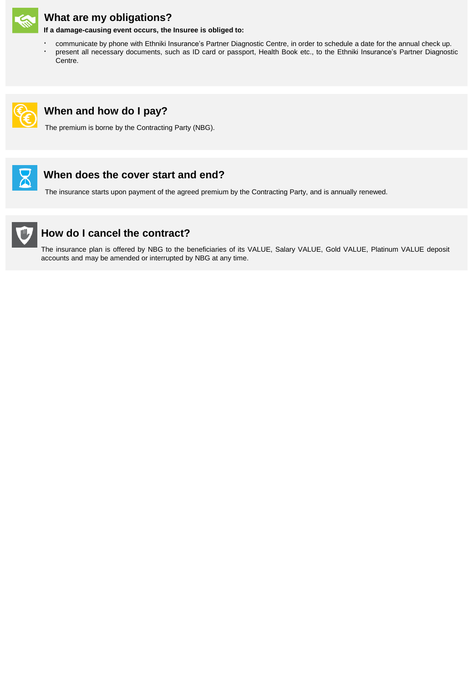

# **What are my obligations?**

**If a damage-causing event occurs, the Insuree is obliged to:**

- communicate by phone with Ethniki Insurance's Partner Diagnostic Centre, in order to schedule a date for the annual check up.
- present all necessary documents, such as ID card or passport, Health Book etc., to the Ethniki Insurance's Partner Diagnostic Centre.



# **When and how do I pay?**

The premium is borne by the Contracting Party (NBG).



# **When does the cover start and end?**

The insurance starts upon payment of the agreed premium by the Contracting Party, and is annually renewed.



# **How do I cancel the contract?**

The insurance plan is offered by NBG to the beneficiaries of its VALUE, Salary VALUE, Gold VALUE, Platinum VALUE deposit accounts and may be amended or interrupted by NBG at any time.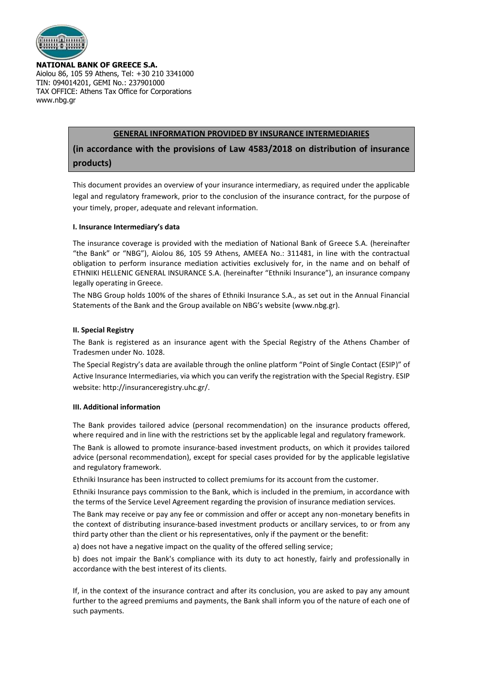

**NATIONAL BANK OF GREECE S.A.**

Aiolou 86, 105 59 Athens, Tel: +30 210 3341000 TIN: 094014201, GEMI No.: 237901000 TAX OFFICE: Athens Tax Office for Corporations www.nbg.gr

#### **GENERAL INFORMATION PROVIDED BY INSURANCE INTERMEDIARIES**

**(in accordance with the provisions of Law 4583/2018 on distribution of insurance products)**

This document provides an overview of your insurance intermediary, as required under the applicable legal and regulatory framework, prior to the conclusion of the insurance contract, for the purpose of your timely, proper, adequate and relevant information.

#### **I. Insurance Intermediary's data**

The insurance coverage is provided with the mediation of National Bank of Greece S.A. (hereinafter "the Bank" or "NBG"), Aiolou 86, 105 59 Athens, AMEEA No.: 311481, in line with the contractual obligation to perform insurance mediation activities exclusively for, in the name and on behalf of ETHNIKI HELLENIC GENERAL INSURANCE S.A. (hereinafter "Ethniki Insurance"), an insurance company legally operating in Greece.

The NBG Group holds 100% of the shares of Ethniki Insurance S.A., as set out in the Annual Financial Statements of the Bank and the Group available on NBG's website (www.nbg.gr).

#### **II. Special Registry**

The Bank is registered as an insurance agent with the Special Registry of the Athens Chamber of Tradesmen under No. 1028.

The Special Registry's data are available through the online platform "Point of Single Contact (ESIP)" of Active Insurance Intermediaries, via which you can verify the registration with the Special Registry. ESIP website: http://insuranceregistry.uhc.gr/.

#### **III. Additional information**

The Bank provides tailored advice (personal recommendation) on the insurance products offered, where required and in line with the restrictions set by the applicable legal and regulatory framework.

The Bank is allowed to promote insurance-based investment products, on which it provides tailored advice (personal recommendation), except for special cases provided for by the applicable legislative and regulatory framework.

Ethniki Insurance has been instructed to collect premiums for its account from the customer.

Ethniki Insurance pays commission to the Bank, which is included in the premium, in accordance with the terms of the Service Level Agreement regarding the provision of insurance mediation services.

The Bank may receive or pay any fee or commission and offer or accept any non-monetary benefits in the context of distributing insurance-based investment products or ancillary services, to or from any third party other than the client or his representatives, only if the payment or the benefit:

a) does not have a negative impact on the quality of the offered selling service;

b) does not impair the Bank's compliance with its duty to act honestly, fairly and professionally in accordance with the best interest of its clients.

If, in the context of the insurance contract and after its conclusion, you are asked to pay any amount further to the agreed premiums and payments, the Bank shall inform you of the nature of each one of such payments.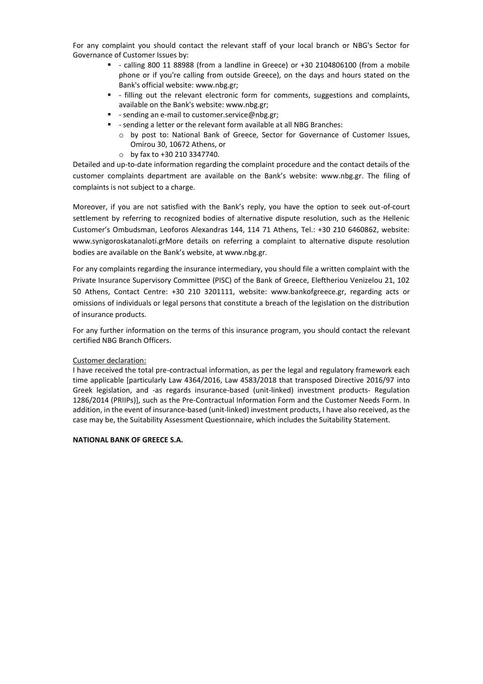For any complaint you should contact the relevant staff of your local branch or NBG's Sector for Governance of Customer Issues by:

- $-$  calling 800 11 88988 (from a landline in Greece) or +30 2104806100 (from a mobile phone or if you're calling from outside Greece), on the days and hours stated on the Bank's official website: www.nbg.gr;
- filling out the relevant electronic form for comments, suggestions and complaints, available on the Bank's website: www.nbg.gr;
- **-** sending an e-mail to customer.service@nbg.gr;
- sending a letter or the relevant form available at all NBG Branches:
	- o by post to: National Bank of Greece, Sector for Governance of Customer Issues, Omirou 30, 10672 Athens, or
	- o by fax to +30 210 3347740.

Detailed and up-to-date information regarding the complaint procedure and the contact details of the customer complaints department are available on the Bank's website: www.nbg.gr. The filing of complaints is not subject to a charge.

Moreover, if you are not satisfied with the Bank's reply, you have the option to seek out-of-court settlement by referring to recognized bodies of alternative dispute resolution, such as the Hellenic Customer's Ombudsman, Leoforos Alexandras 144, 114 71 Athens, Tel.: +30 210 6460862, website: www.synigoroskatanaloti.grMore details on referring a complaint to alternative dispute resolution bodies are available on the Bank's website, at www.nbg.gr.

For any complaints regarding the insurance intermediary, you should file a written complaint with the Private Insurance Supervisory Committee (PISC) of the Bank of Greece, Eleftheriou Venizelou 21, 102 50 Athens, Contact Centre: +30 210 3201111, website: www.bankofgreece.gr, regarding acts or omissions of individuals or legal persons that constitute a breach of the legislation on the distribution of insurance products.

For any further information on the terms of this insurance program, you should contact the relevant certified NBG Branch Officers.

#### Customer declaration:

I have received the total pre-contractual information, as per the legal and regulatory framework each time applicable [particularly Law 4364/2016, Law 4583/2018 that transposed Directive 2016/97 into Greek legislation, and -as regards insurance-based (unit-linked) investment products- Regulation 1286/2014 (PRIIPs)], such as the Pre-Contractual Information Form and the Customer Needs Form. In addition, in the event of insurance-based (unit-linked) investment products, I have also received, as the case may be, the Suitability Assessment Questionnaire, which includes the Suitability Statement.

#### **NATIONAL BANK OF GREECE S.A.**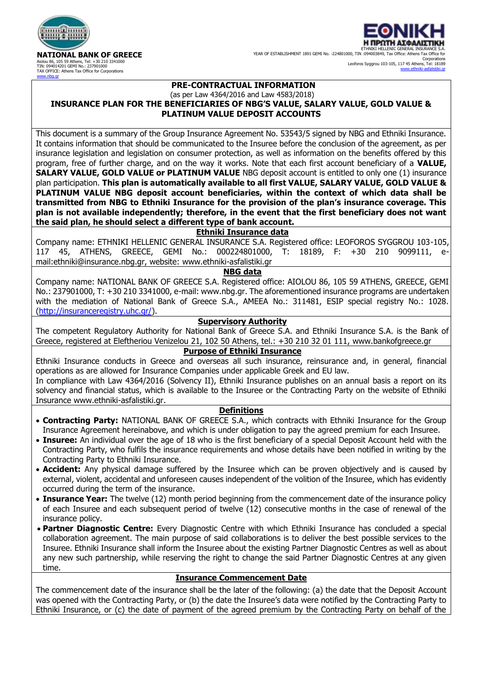

**NATIONAL BANK OF GREECE** Aiolou 86, 105 59 Athens, Tel: +30 210 3341000 TIN: 094014201 GEMI No.: 237901000 TAX OFFICE: Athens Tax Office for Corporations [www.nbg.gr](http://www.nbg.gr/)



### **PRE-CONTRACTUAL INFORMATION**

#### (as per Law 4364/2016 and Law 4583/2018) **INSURANCE PLAN FOR THE BENEFICIARIES OF NBG'S VALUE, SALARY VALUE, GOLD VALUE & PLATINUM VALUE DEPOSIT ACCOUNTS**

This document is a summary of the Group Insurance Agreement No. 53543/5 signed by NBG and Ethniki Insurance. It contains information that should be communicated to the Insuree before the conclusion of the agreement, as per insurance legislation and legislation on consumer protection, as well as information on the benefits offered by this program, free of further charge, and on the way it works. Note that each first account beneficiary of a **VALUE, SALARY VALUE, GOLD VALUE or PLATINUM VALUE** NBG deposit account is entitled to only one (1) insurance plan participation. **This plan is automatically available to all first VALUE, SALARY VALUE, GOLD VALUE & PLATINUM VALUE NBG deposit account beneficiaries, within the context of which data shall be transmitted from NBG to Ethniki Insurance for the provision of the plan's insurance coverage. This plan is not available independently; therefore, in the event that the first beneficiary does not want the said plan, he should select a different type of bank account.**

#### **Ethniki Insurance data**

Company name: ETHNIKI HELLENIC GENERAL INSURANCE S.A. Registered office: LEOFOROS SYGGROU 103-105, 117 45, ATHENS, GREECE, GEMI No.: 000224801000, T: 18189, F: +30 210 9099111, email:ethniki@insurance.nbg.gr, website: www.ethniki-asfalistiki.gr

#### **NBG data**

Company name: NATIONAL BANK OF GREECE S.A. Registered office: AIOLOU 86, 105 59 ATHENS, GREECE, GEMI No.: 237901000, T: +30 210 3341000, e-mail: [www.nbg.gr.](http://www.nbg.gr/) The aforementioned insurance programs are undertaken with the mediation of National Bank of Greece S.A., AMEEA No.: 311481, ESIP special registry No.: 1028. (http://insuranceregistry.uhc.gr/).

#### **Supervisory Authority**

The competent Regulatory Authority for National Bank of Greece S.A. and Ethniki Insurance S.A. is the Bank of Greece, registered at Eleftheriou Venizelou 21, 102 50 Athens, tel.: +30 210 32 01 111, [www.bankofgreece.gr](https://mymail.insurance.nbg.gr/OWA/redir.aspx?C=_-LPC2bxKtgS-aeRJr0OGnK7KJxprrQS1tOgM6tjfrx2_VBQSIbYCA..&URL=http://www.bankofgreece.gr)

#### **Purpose of Ethniki Insurance**

Ethniki Insurance conducts in Greece and overseas all such insurance, reinsurance and, in general, financial operations as are allowed for Insurance Companies under applicable Greek and EU law.

In compliance with Law 4364/2016 (Solvency II), Ethniki Insurance publishes on an annual basis a report on its solvency and financial status, which is available to the Insuree or the Contracting Party on the website of Ethniki Insurance [www.ethniki-asfalistiki.gr.](http://www.ethniki-asfalistiki.gr/)

#### **Definitions**

- **Contracting Party:** NATIONAL BANK OF GREECE S.A., which contracts with Ethniki Insurance for the Group Insurance Agreement hereinabove, and which is under obligation to pay the agreed premium for each Insuree.
- **Insuree:** An individual over the age of 18 who is the first beneficiary of a special Deposit Account held with the Contracting Party, who fulfils the insurance requirements and whose details have been notified in writing by the Contracting Party to Ethniki Insurance.
- **Accident:** Any physical damage suffered by the Insuree which can be proven objectively and is caused by external, violent, accidental and unforeseen causes independent of the volition of the Insuree, which has evidently occurred during the term of the insurance.
- **Insurance Year:** The twelve (12) month period beginning from the commencement date of the insurance policy of each Insuree and each subsequent period of twelve (12) consecutive months in the case of renewal of the insurance policy.
- **Partner Diagnostic Centre:** Every Diagnostic Centre with which Ethniki Insurance has concluded a special collaboration agreement. The main purpose of said collaborations is to deliver the best possible services to the Insuree. Ethniki Insurance shall inform the Insuree about the existing Partner Diagnostic Centres as well as about any new such partnership, while reserving the right to change the said Partner Diagnostic Centres at any given time.

#### **Insurance Commencement Date**

The commencement date of the insurance shall be the later of the following: (a) the date that the Deposit Account was opened with the Contracting Party, or (b) the date the Insuree's data were notified by the Contracting Party to Ethniki Insurance, or (c) the date of payment of the agreed premium by the Contracting Party on behalf of the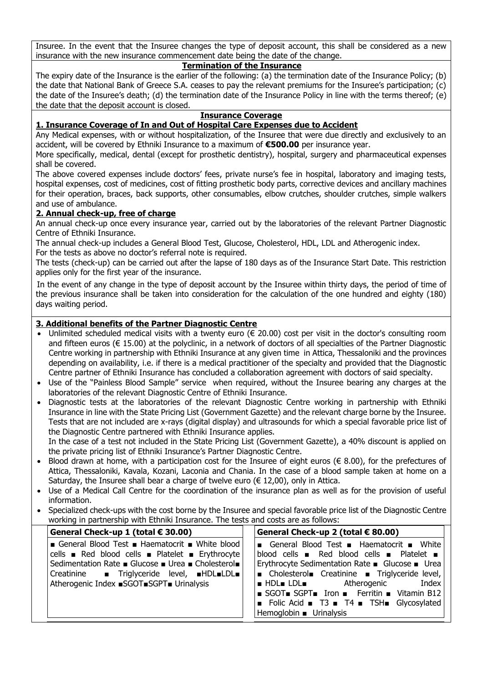Insuree. In the event that the Insuree changes the type of deposit account, this shall be considered as a new insurance with the new insurance commencement date being the date of the change.

# **Termination of the Insurance**

The expiry date of the Insurance is the earlier of the following: (a) the termination date of the Insurance Policy; (b) the date that National Bank of Greece S.A. ceases to pay the relevant premiums for the Insuree's participation; (c) the date of the Insuree's death; (d) the termination date of the Insurance Policy in line with the terms thereof; (e) the date that the deposit account is closed.

#### **Insurance Coverage**

# **1. Insurance Coverage of In and Out of Hospital Care Expenses due to Accident**

Any Medical expenses, with or without hospitalization, of the Insuree that were due directly and exclusively to an accident, will be covered by Ethniki Insurance to a maximum of **€500.00** per insurance year.

More specifically, medical, dental (except for prosthetic dentistry), hospital, surgery and pharmaceutical expenses shall be covered.

The above covered expenses include doctors' fees, private nurse's fee in hospital, laboratory and imaging tests, hospital expenses, cost of medicines, cost of fitting prosthetic body parts, corrective devices and ancillary machines for their operation, braces, back supports, other consumables, elbow crutches, shoulder crutches, simple walkers and use of ambulance.

#### **2. Annual check-up, free of charge**

An annual check-up once every insurance year, carried out by the laboratories of the relevant Partner Diagnostic Centre of Ethniki Insurance.

The annual check-up includes a General Blood Test, Glucose, Cholesterol, HDL, LDL and Atherogenic index. For the tests as above no doctor's referral note is required.

The tests (check-up) can be carried out after the lapse of 180 days as of the Insurance Start Date. This restriction applies only for the first year of the insurance.

In the event of any change in the type of deposit account by the Insuree within thirty days, the period of time of the previous insurance shall be taken into consideration for the calculation of the one hundred and eighty (180) days waiting period.

# **3. Additional benefits of the Partner Diagnostic Centre**

- Unlimited scheduled medical visits with a twenty euro ( $\epsilon$  20.00) cost per visit in the doctor's consulting room and fifteen euros (€ 15.00) at the polyclinic, in a network of doctors of all specialties of the Partner Diagnostic Centre working in partnership with Ethniki Insurance at any given time in Attica, Thessaloniki and the provinces depending on availability, i.e. if there is a medical practitioner of the specialty and provided that the Diagnostic Centre partner of Ethniki Insurance has concluded a collaboration agreement with doctors of said specialty.
- Use of the "Painless Blood Sample" service when required, without the Insuree bearing any charges at the laboratories of the relevant Diagnostic Centre of Ethniki Insurance.
- Diagnostic tests at the laboratories of the relevant Diagnostic Centre working in partnership with Ethniki Insurance in line with the State Pricing List (Government Gazette) and the relevant charge borne by the Insuree. Tests that are not included are x-rays (digital display) and ultrasounds for which a special favorable price list of the Diagnostic Centre partnered with Ethniki Insurance applies.

In the case of a test not included in the State Pricing List (Government Gazette), a 40% discount is applied on the private pricing list of Ethniki Insurance's Partner Diagnostic Centre.

- Blood drawn at home, with a participation cost for the Insuree of eight euros ( $\epsilon$  8.00), for the prefectures of Attica, Thessaloniki, Kavala, Kozani, Laconia and Chania. In the case of a blood sample taken at home on a Saturday, the Insuree shall bear a charge of twelve euro  $(\epsilon 12,00)$ , only in Attica.
- Use of a Medical Call Centre for the coordination of the insurance plan as well as for the provision of useful information.
- Specialized check-ups with the cost borne by the Insuree and special favorable price list of the Diagnostic Centre working in partnership with Ethniki Insurance. The tests and costs are as follows:

| General Check-up 1 (total € 30.00)                                                                                                                                                                         | General Check-up 2 (total $€ 80.00$ )                                                                                                                                                                                                               |
|------------------------------------------------------------------------------------------------------------------------------------------------------------------------------------------------------------|-----------------------------------------------------------------------------------------------------------------------------------------------------------------------------------------------------------------------------------------------------|
| General Blood Test Haematocrit White blood<br>cells Red blood cells Platelet Erythrocyte<br>Sedimentation Rate ■ Glucose ■ Urea ■ Cholesterol■<br>Creatinine <b>I</b> Triglyceride level, <b>IHDLILDLE</b> | General Blood Test Blaematocrit Mite<br>blood cells $\blacksquare$ Red blood cells $\blacksquare$ Platelet $\blacksquare$<br>Erythrocyte Sedimentation Rate ■ Glucose ■ Urea<br>Cholesterol Creatinine Triglyceride level,                          |
| Atherogenic Index ■SGOT■SGPT■ Urinalysis                                                                                                                                                                   | <b>B</b> HDL LDL <b>Atherogenic</b><br>Index<br>$\blacksquare$ SGOT $\blacksquare$ SGPT $\blacksquare$ Iron $\blacksquare$ Ferritin $\blacksquare$ Vitamin B12<br>■ Folic Acid ■ T3 ■ T4 ■ TSH Glycosylated<br>Hemoglobin $\blacksquare$ Urinalysis |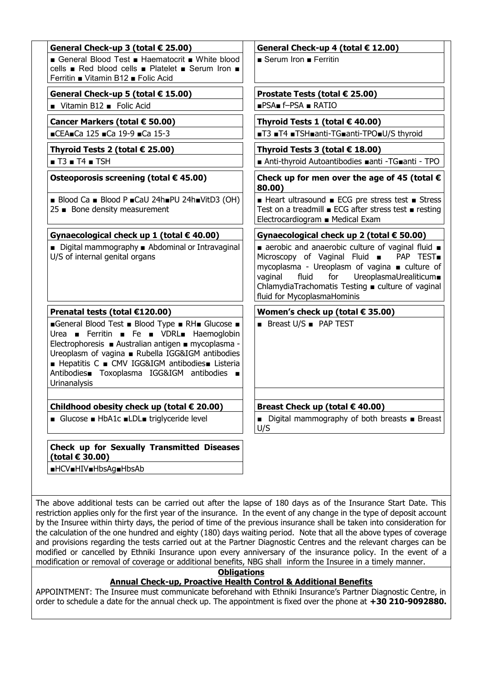| General Check-up 3 (total € 25.00)                                                                                                                                                                                                                                                                             | General Check-up 4 (total € 12.00)                                                                                                                                                                                                                                                                   |
|----------------------------------------------------------------------------------------------------------------------------------------------------------------------------------------------------------------------------------------------------------------------------------------------------------------|------------------------------------------------------------------------------------------------------------------------------------------------------------------------------------------------------------------------------------------------------------------------------------------------------|
| ■ General Blood Test ■ Haematocrit ■ White blood<br>cells ■ Red blood cells ■ Platelet ■ Serum Iron ■<br>Ferritin ■ Vitamin B12 ■ Folic Acid                                                                                                                                                                   | $\blacksquare$ Serum Iron $\blacksquare$ Ferritin                                                                                                                                                                                                                                                    |
| General Check-up 5 (total € 15.00)                                                                                                                                                                                                                                                                             | Prostate Tests (total € 25.00)                                                                                                                                                                                                                                                                       |
| Vitamin B12 Folic Acid                                                                                                                                                                                                                                                                                         | $PSA = f-PSA = RATIO$                                                                                                                                                                                                                                                                                |
| Cancer Markers (total € 50.00)                                                                                                                                                                                                                                                                                 | Thyroid Tests 1 (total € 40.00)                                                                                                                                                                                                                                                                      |
| ■CEA■Ca 125 ■Ca 19-9 ■Ca 15-3                                                                                                                                                                                                                                                                                  | ■T3 ■T4 ■TSH■anti-TG■anti-TPO■U/S thyroid                                                                                                                                                                                                                                                            |
| Thyroid Tests 2 (total € 25.00)                                                                                                                                                                                                                                                                                | Thyroid Tests 3 (total € 18.00)                                                                                                                                                                                                                                                                      |
| $\blacksquare$ T3 $\blacksquare$ T4 $\blacksquare$ TSH                                                                                                                                                                                                                                                         | ■ Anti-thyroid Autoantibodies ■ anti - TG ■ anti - TPO                                                                                                                                                                                                                                               |
| Osteoporosis screening (total € 45.00)                                                                                                                                                                                                                                                                         | Check up for men over the age of 45 (total $\epsilon$<br>80.00)                                                                                                                                                                                                                                      |
| ■ Blood Ca ■ Blood P ■ CaU 24h■ PU 24h■ VitD3 (OH)<br>25 ■ Bone density measurement                                                                                                                                                                                                                            | ■ Heart ultrasound ■ ECG pre stress test ■ Stress<br>Test on a treadmill ■ ECG after stress test ■ resting<br>Electrocardiogram ■ Medical Exam                                                                                                                                                       |
| Gynaecological check up 1 (total $\epsilon$ 40.00)                                                                                                                                                                                                                                                             | Gynaecological check up 2 (total € 50.00)                                                                                                                                                                                                                                                            |
| ■ Digital mammography ■ Abdominal or Intravaginal<br>U/S of internal genital organs                                                                                                                                                                                                                            | aerobic and anaerobic culture of vaginal fluid $\blacksquare$<br>Microscopy of Vaginal Fluid <b>B</b> PAP TEST<br>mycoplasma - Ureoplasm of vagina ■ culture of<br>for UreoplasmaUrealiticum<br>vaginal<br>fluid<br>ChlamydiaTrachomatis Testing ■ culture of vaginal<br>fluid for MycoplasmaHominis |
| Prenatal tests (total €120.00)                                                                                                                                                                                                                                                                                 | Women's check up (total $\epsilon$ 35.00)                                                                                                                                                                                                                                                            |
| General Blood Test Blood Type RH Glucose B<br>Urea Ferritin Fe B VDRL Haemoglobin<br>Electrophoresis ■ Australian antigen ■ mycoplasma -<br>Ureoplasm of vagina ■ Rubella IGG&IGM antibodies<br>■ Hepatitis C ■ CMV IGG&IGM antibodies■ Listeria<br>Antibodies Toxoplasma IGG&IGM antibodies -<br>Urinanalysis | ■ Breast U/S ■ PAP TEST                                                                                                                                                                                                                                                                              |
| Childhood obesity check up (total € 20.00)                                                                                                                                                                                                                                                                     | Breast Check up (total € 40.00)                                                                                                                                                                                                                                                                      |
| ■ Glucose ■ HbA1c ■LDL■ triglyceride level                                                                                                                                                                                                                                                                     | ■ Digital mammography of both breasts ■ Breast<br>U/S                                                                                                                                                                                                                                                |
| Check up for Sexually Transmitted Diseases<br>(total € 30.00)                                                                                                                                                                                                                                                  |                                                                                                                                                                                                                                                                                                      |
| <b>■HCV■HIV■HbsAg■HbsAb</b>                                                                                                                                                                                                                                                                                    |                                                                                                                                                                                                                                                                                                      |
|                                                                                                                                                                                                                                                                                                                |                                                                                                                                                                                                                                                                                                      |

The above additional tests can be carried out after the lapse of 180 days as of the Insurance Start Date. This restriction applies only for the first year of the insurance. In the event of any change in the type of deposit account by the Insuree within thirty days, the period of time of the previous insurance shall be taken into consideration for the calculation of the one hundred and eighty (180) days waiting period. Note that all the above types of coverage and provisions regarding the tests carried out at the Partner Diagnostic Centres and the relevant charges can be modified or cancelled by Ethniki Insurance upon every anniversary of the insurance policy. In the event of a modification or removal of coverage or additional benefits, NBG shall inform the Insuree in a timely manner.

**Obligations**

# **Annual Check-up, Proactive Health Control & Additional Benefits**

APPOINTMENT: The Insuree must communicate beforehand with Ethniki Insurance's Partner Diagnostic Centre, in order to schedule a date for the annual check up. The appointment is fixed over the phone at **+30 210-9092880.**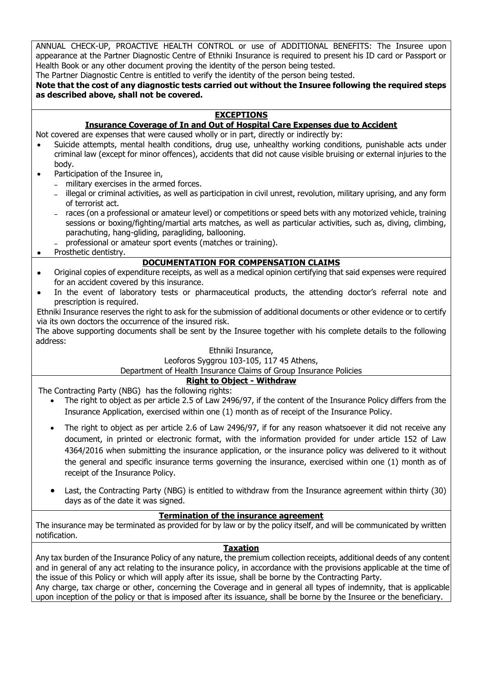ANNUAL CHECK-UP, PROACTIVE HEALTH CONTROL or use of ADDITIONAL BENEFITS: The Insuree upon appearance at the Partner Diagnostic Centre of Ethniki Insurance is required to present his ID card or Passport or Health Book or any other document proving the identity of the person being tested.

The Partner Diagnostic Centre is entitled to verify the identity of the person being tested.

**Note that the cost of any diagnostic tests carried out without the Insuree following the required steps as described above, shall not be covered.**

# **EXCEPTIONS**

# **Insurance Coverage of In and Out of Hospital Care Expenses due to Accident**

Not covered are expenses that were caused wholly or in part, directly or indirectly by:

- Suicide attempts, mental health conditions, drug use, unhealthy working conditions, punishable acts under criminal law (except for minor offences), accidents that did not cause visible bruising or external injuries to the body.
- Participation of the Insuree in,
	- military exercises in the armed forces.
	- illegal or criminal activities, as well as participation in civil unrest, revolution, military uprising, and any form of terrorist act.
	- races (on a professional or amateur level) or competitions or speed bets with any motorized vehicle, training sessions or boxing/fighting/martial arts matches, as well as particular activities, such as, diving, climbing, parachuting, hang-gliding, paragliding, ballooning.
	- professional or amateur sport events (matches or training).
- Prosthetic dentistry.

# **DOCUMENTATION FOR COMPENSATION CLAIMS**

- Original copies of expenditure receipts, as well as a medical opinion certifying that said expenses were required for an accident covered by this insurance.
- In the event of laboratory tests or pharmaceutical products, the attending doctor's referral note and prescription is required.

Ethniki Insurance reserves the right to ask for the submission of additional documents or other evidence or to certify via its own doctors the occurrence of the insured risk.

The above supporting documents shall be sent by the Insuree together with his complete details to the following address:

#### Ethniki Insurance,

# Leoforos Syggrou 103-105, 117 45 Athens,

Department of Health Insurance Claims of Group Insurance Policies

# **Right to Object - Withdraw**

The Contracting Party (NBG) has the following rights:

- The right to object as per article 2.5 of Law 2496/97, if the content of the Insurance Policy differs from the Insurance Application, exercised within one (1) month as of receipt of the Insurance Policy.
- The right to object as per article 2.6 of Law 2496/97, if for any reason whatsoever it did not receive any document, in printed or electronic format, with the information provided for under article 152 of Law 4364/2016 when submitting the insurance application, or the insurance policy was delivered to it without the general and specific insurance terms governing the insurance, exercised within one (1) month as of receipt of the Insurance Policy.
- Last, the Contracting Party (NBG) is entitled to withdraw from the Insurance agreement within thirty (30) days as of the date it was signed.

### **Termination of the insurance agreement**

The insurance may be terminated as provided for by law or by the policy itself, and will be communicated by written notification.

#### **Taxation**

Any tax burden of the Insurance Policy of any nature, the premium collection receipts, additional deeds of any content and in general of any act relating to the insurance policy, in accordance with the provisions applicable at the time of the issue of this Policy or which will apply after its issue, shall be borne by the Contracting Party.

Any charge, tax charge or other, concerning the Coverage and in general all types of indemnity, that is applicable upon inception of the policy or that is imposed after its issuance, shall be borne by the Insuree or the beneficiary.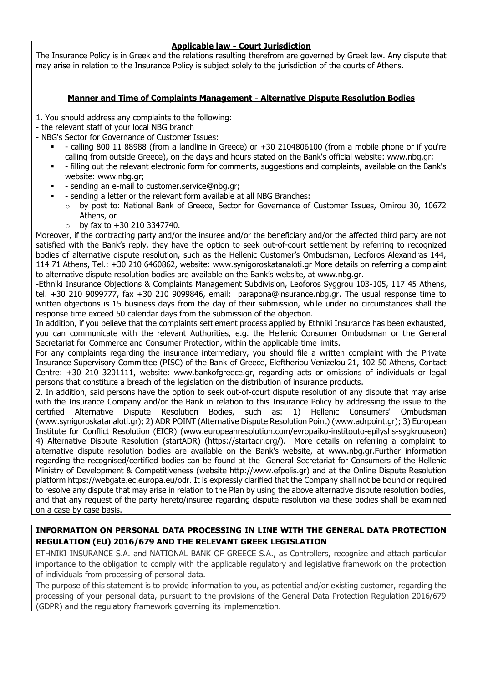### **Applicable law - Court Jurisdiction**

The Insurance Policy is in Greek and the relations resulting therefrom are governed by Greek law. Any dispute that may arise in relation to the Insurance Policy is subject solely to the jurisdiction of the courts of Athens.

# **Manner and Time of Complaints Management - Alternative Dispute Resolution Bodies**

1. You should address any complaints to the following:

- the relevant staff of your local NBG branch
- NBG's Sector for Governance of Customer Issues:
	- calling 800 11 88988 (from a landline in Greece) or +30 2104806100 (from a mobile phone or if you're calling from outside Greece), on the days and hours stated on the Bank's official website: www.nbg.gr;
	- filling out the relevant electronic form for comments, suggestions and complaints, available on the Bank's website: www.nbg.gr;
	- sending an e-mail to customer.service@nbg.gr;
		- sending a letter or the relevant form available at all NBG Branches:
		- by post to: National Bank of Greece, Sector for Governance of Customer Issues, Omirou 30, 10672 Athens, or
			- $\circ$  by fax to  $+30$  210 3347740.

Moreover, if the contracting party and/or the insuree and/or the beneficiary and/or the affected third party are not satisfied with the Bank's reply, they have the option to seek out-of-court settlement by referring to recognized bodies of alternative dispute resolution, such as the Hellenic Customer's Ombudsman, Leoforos Alexandras 144, 114 71 Athens, Tel.: +30 210 6460862, website: www.synigoroskatanaloti.gr More details on referring a complaint to alternative dispute resolution bodies are available on the Bank's website, at www.nbg.gr.

-Ethniki Insurance Objections & Complaints Management Subdivision, Leoforos Syggrou 103-105, 117 45 Athens, tel. +30 210 9099777, fax +30 210 9099846, email: parapona@insurance.nbg.gr. The usual response time to written objections is 15 business days from the day of their submission, while under no circumstances shall the response time exceed 50 calendar days from the submission of the objection.

In addition, if you believe that the complaints settlement process applied by Ethniki Insurance has been exhausted, you can communicate with the relevant Authorities, e.g. the Hellenic Consumer Ombudsman or the General Secretariat for Commerce and Consumer Protection, within the applicable time limits.

For any complaints regarding the insurance intermediary, you should file a written complaint with the Private Insurance Supervisory Committee (PISC) of the Bank of Greece, Eleftheriou Venizelou 21, 102 50 Athens, Contact Centre: +30 210 3201111, website: www.bankofgreece.gr, regarding acts or omissions of individuals or legal persons that constitute a breach of the legislation on the distribution of insurance products.

2. In addition, said persons have the option to seek out-of-court dispute resolution of any dispute that may arise with the Insurance Company and/or the Bank in relation to this Insurance Policy by addressing the issue to the certified Alternative Dispute Resolution Bodies, such as: 1) Hellenic Consumers' Ombudsman (www.synigoroskatanaloti.gr); 2) ADR POINT (Alternative Dispute Resolution Point) (www.adrpoint.gr); 3) European Institute for Conflict Resolution (EICR) (www.europeanresolution.com/evropaiko-institouto-epilyshs-sygkrouseon) 4) Alternative Dispute Resolution (startADR) (https://startadr.org/). More details on referring a complaint to alternative dispute resolution bodies are available on the Bank's website, at www.nbg.gr.Further information regarding the recognised/certified bodies can be found at the General Secretariat for Consumers of the Hellenic Ministry of Development & Competitiveness (website http://www.efpolis.gr) and at the Online Dispute Resolution platform https://webgate.ec.europa.eu/odr. It is expressly clarified that the Company shall not be bound or required to resolve any dispute that may arise in relation to the Plan by using the above alternative dispute resolution bodies, and that any request of the party hereto/insuree regarding dispute resolution via these bodies shall be examined on a case by case basis.

# **INFORMATION ON PERSONAL DATA PROCESSING IN LINE WITH THE GENERAL DATA PROTECTION REGULATION (EU) 2016/679 AND THE RELEVANT GREEK LEGISLATION**

ETHNIKI INSURANCE S.A. and NATIONAL BANK OF GREECE S.A., as Controllers, recognize and attach particular importance to the obligation to comply with the applicable regulatory and legislative framework on the protection of individuals from processing of personal data.

The purpose of this statement is to provide information to you, as potential and/or existing customer, regarding the processing of your personal data, pursuant to the provisions of the General Data Protection Regulation 2016/679 (GDPR) and the regulatory framework governing its implementation.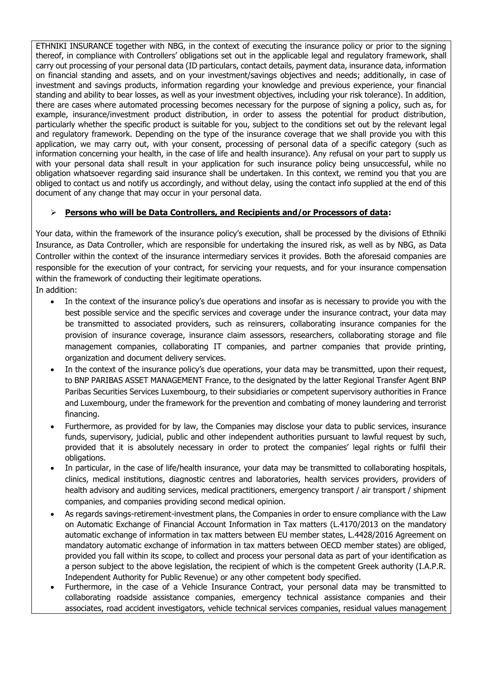ETHNIKI INSURANCE together with NBG, in the context of executing the insurance policy or prior to the signing thereof, in compliance with Controllers' obligations set out in the applicable legal and regulatory framework, shall carry out processing of your personal data (ID particulars, contact details, payment data, insurance data, information on financial standing and assets, and on your investment/savings objectives and needs; additionally, in case of investment and savings products, information regarding your knowledge and previous experience, your financial standing and ability to bear losses, as well as your investment objectives, including your risk tolerance). In addition, there are cases where automated processing becomes necessary for the purpose of signing a policy, such as, for example, insurance/investment product distribution, in order to assess the potential for product distribution, particularly whether the specific product is suitable for you, subject to the conditions set out by the relevant legal and regulatory framework. Depending on the type of the insurance coverage that we shall provide you with this application, we may carry out, with your consent, processing of personal data of a specific category (such as information concerning your health, in the case of life and health insurance). Any refusal on your part to supply us with your personal data shall result in your application for such insurance policy being unsuccessful, while no obligation whatsoever regarding said insurance shall be undertaken. In this context, we remind you that you are obliged to contact us and notify us accordingly, and without delay, using the contact info supplied at the end of this document of any change that may occur in your personal data.

# **Persons who will be Data Controllers, and Recipients and/or Processors of data:**

Your data, within the framework of the insurance policy's execution, shall be processed by the divisions of Ethniki Insurance, as Data Controller, which are responsible for undertaking the insured risk, as well as by NBG, as Data Controller within the context of the insurance intermediary services it provides. Both the aforesaid companies are responsible for the execution of your contract, for servicing your requests, and for your insurance compensation within the framework of conducting their legitimate operations.

In addition:

- In the context of the insurance policy's due operations and insofar as is necessary to provide you with the best possible service and the specific services and coverage under the insurance contract, your data may be transmitted to associated providers, such as reinsurers, collaborating insurance companies for the provision of insurance coverage, insurance claim assessors, researchers, collaborating storage and file management companies, collaborating IT companies, and partner companies that provide printing, organization and document delivery services.
- In the context of the insurance policy's due operations, your data may be transmitted, upon their request, to BNP PARIBAS ASSET MANAGEMENT France, to the designated by the latter Regional Transfer Agent BNP Paribas Securities Services Luxembourg, to their subsidiaries or competent supervisory authorities in France and Luxembourg, under the framework for the prevention and combating of money laundering and terrorist financing.
- Furthermore, as provided for by law, the Companies may disclose your data to public services, insurance funds, supervisory, judicial, public and other independent authorities pursuant to lawful request by such, provided that it is absolutely necessary in order to protect the companies' legal rights or fulfil their obligations.
- In particular, in the case of life/health insurance, your data may be transmitted to collaborating hospitals, clinics, medical institutions, diagnostic centres and laboratories, health services providers, providers of health advisory and auditing services, medical practitioners, emergency transport / air transport / shipment companies, and companies providing second medical opinion.
- As regards savings-retirement-investment plans, the Companies in order to ensure compliance with the Law on Automatic Exchange of Financial Account Information in Tax matters (L.4170/2013 on the mandatory automatic exchange of information in tax matters between EU member states, L.4428/2016 Agreement on mandatory automatic exchange of information in tax matters between OECD member states) are obliged, provided you fall within its scope, to collect and process your personal data as part of your identification as a person subject to the above legislation, the recipient of which is the competent Greek authority (I.A.P.R. Independent Authority for Public Revenue) or any other competent body specified.
- Furthermore, in the case of a Vehicle Insurance Contract, your personal data may be transmitted to collaborating roadside assistance companies, emergency technical assistance companies and their associates, road accident investigators, vehicle technical services companies, residual values management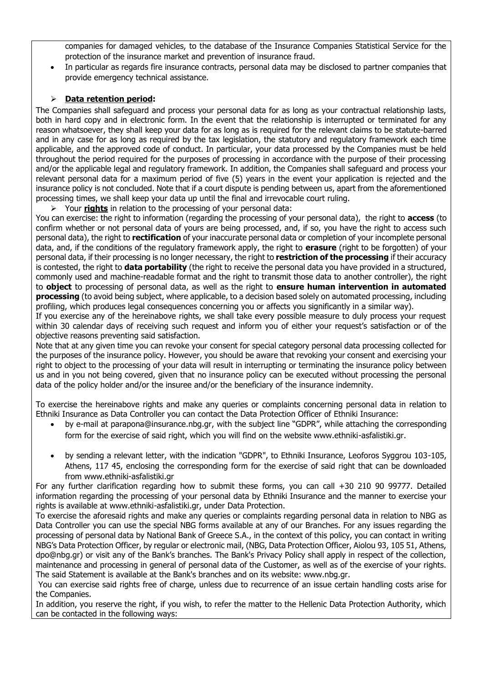companies for damaged vehicles, to the database of the Insurance Companies Statistical Service for the protection of the insurance market and prevention of insurance fraud.

 In particular as regards fire insurance contracts, personal data may be disclosed to partner companies that provide emergency technical assistance.

# **Data retention period:**

The Companies shall safeguard and process your personal data for as long as your contractual relationship lasts, both in hard copy and in electronic form. In the event that the relationship is interrupted or terminated for any reason whatsoever, they shall keep your data for as long as is required for the relevant claims to be statute-barred and in any case for as long as required by the tax legislation, the statutory and regulatory framework each time applicable, and the approved code of conduct. In particular, your data processed by the Companies must be held throughout the period required for the purposes of processing in accordance with the purpose of their processing and/or the applicable legal and regulatory framework. In addition, the Companies shall safeguard and process your relevant personal data for a maximum period of five (5) years in the event your application is rejected and the insurance policy is not concluded. Note that if a court dispute is pending between us, apart from the aforementioned processing times, we shall keep your data up until the final and irrevocable court ruling.

Your **rights** in relation to the processing of your personal data:

You can exercise: the right to information (regarding the processing of your personal data), the right to **access** (to confirm whether or not personal data of yours are being processed, and, if so, you have the right to access such personal data), the right to **rectification** of your inaccurate personal data or completion of your incomplete personal data, and, if the conditions of the regulatory framework apply, the right to **erasure** (right to be forgotten) of your personal data, if their processing is no longer necessary, the right to **restriction of the processing** if their accuracy is contested, the right to **data portability** (the right to receive the personal data you have provided in a structured, commonly used and machine-readable format and the right to transmit those data to another controller), the right to **object** to processing of personal data, as well as the right to **ensure human intervention in automated processing** (to avoid being subject, where applicable, to a decision based solely on automated processing, including profiling, which produces legal consequences concerning you or affects you significantly in a similar way).

If you exercise any of the hereinabove rights, we shall take every possible measure to duly process your request within 30 calendar days of receiving such request and inform you of either your request's satisfaction or of the objective reasons preventing said satisfaction.

Note that at any given time you can revoke your consent for special category personal data processing collected for the purposes of the insurance policy. However, you should be aware that revoking your consent and exercising your right to object to the processing of your data will result in interrupting or terminating the insurance policy between us and in you not being covered, given that no insurance policy can be executed without processing the personal data of the policy holder and/or the insuree and/or the beneficiary of the insurance indemnity.

To exercise the hereinabove rights and make any queries or complaints concerning personal data in relation to Ethniki Insurance as Data Controller you can contact the Data Protection Officer of Ethniki Insurance:

- by e-mail at [parapona@insurance.nbg.gr](mailto:parapona@insurance.nbg.gr), with the subject line "GDPR", while attaching the corresponding form for the exercise of said right, which you will find on the website www.ethniki-asfalistiki.gr.
- by sending a relevant letter, with the indication "GDPR", to Ethniki Insurance, Leoforos Syggrou 103-105, Athens, 117 45, enclosing the corresponding form for the exercise of said right that can be downloaded from www.ethniki-asfalistiki.gr

For any further clarification regarding how to submit these forms, you can call +30 210 90 99777. Detailed information regarding the processing of your personal data by Ethniki Insurance and the manner to exercise your rights is available at www.ethniki-asfalistiki.gr, under Data Protection.

To exercise the aforesaid rights and make any queries or complaints regarding personal data in relation to NBG as Data Controller you can use the special NBG forms available at any of our Branches. For any issues regarding the processing of personal data by National Bank of Greece S.A., in the context of this policy, you can contact in writing NBG's Data Protection Officer, by regular or electronic mail, (NBG, Data Protection Officer, Aiolou 93, 105 51, Athens, dpo@nbg.gr) or visit any of the Bank's branches. The Bank's Privacy Policy shall apply in respect of the collection, maintenance and processing in general of personal data of the Customer, as well as of the exercise of your rights. The said Statement is available at the Bank's branches and on its website: www.nbg.gr.

You can exercise said rights free of charge, unless due to recurrence of an issue certain handling costs arise for the Companies.

In addition, you reserve the right, if you wish, to refer the matter to the Hellenic Data Protection Authority, which can be contacted in the following ways: